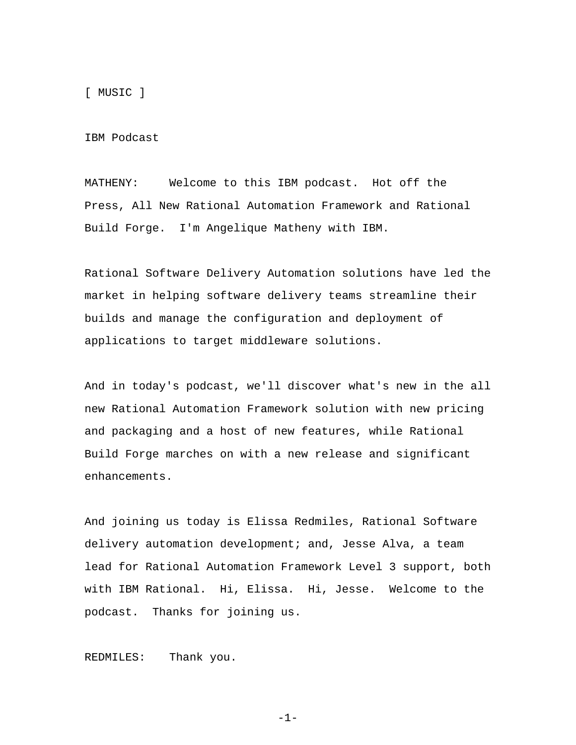[ MUSIC ]

IBM Podcast

MATHENY: Welcome to this IBM podcast. Hot off the Press, All New Rational Automation Framework and Rational Build Forge. I'm Angelique Matheny with IBM.

Rational Software Delivery Automation solutions have led the market in helping software delivery teams streamline their builds and manage the configuration and deployment of applications to target middleware solutions.

And in today's podcast, we'll discover what's new in the all new Rational Automation Framework solution with new pricing and packaging and a host of new features, while Rational Build Forge marches on with a new release and significant enhancements.

And joining us today is Elissa Redmiles, Rational Software delivery automation development; and, Jesse Alva, a team lead for Rational Automation Framework Level 3 support, both with IBM Rational. Hi, Elissa. Hi, Jesse. Welcome to the podcast. Thanks for joining us.

REDMILES: Thank you.

 $-1-$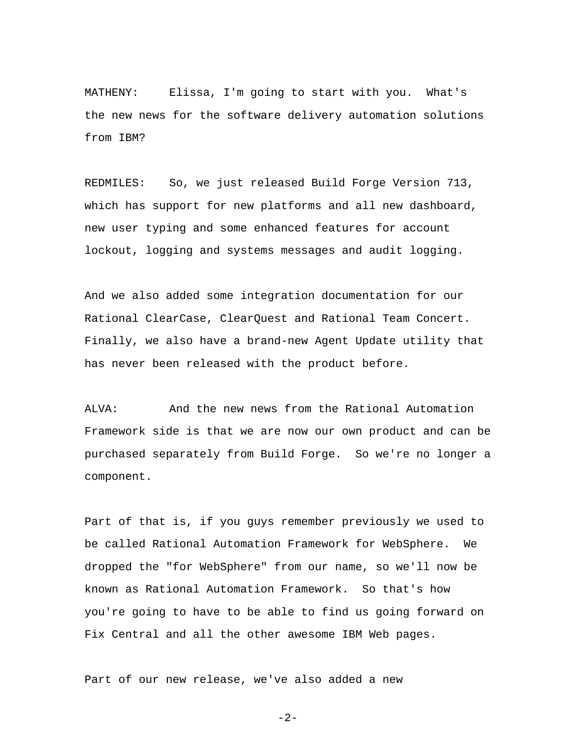MATHENY: Elissa, I'm going to start with you. What's the new news for the software delivery automation solutions from IBM?

REDMILES: So, we just released Build Forge Version 713, which has support for new platforms and all new dashboard, new user typing and some enhanced features for account lockout, logging and systems messages and audit logging.

And we also added some integration documentation for our Rational ClearCase, ClearQuest and Rational Team Concert. Finally, we also have a brand-new Agent Update utility that has never been released with the product before.

ALVA: And the new news from the Rational Automation Framework side is that we are now our own product and can be purchased separately from Build Forge. So we're no longer a component.

Part of that is, if you guys remember previously we used to be called Rational Automation Framework for WebSphere. We dropped the "for WebSphere" from our name, so we'll now be known as Rational Automation Framework. So that's how you're going to have to be able to find us going forward on Fix Central and all the other awesome IBM Web pages.

Part of our new release, we've also added a new

```
 -2-
```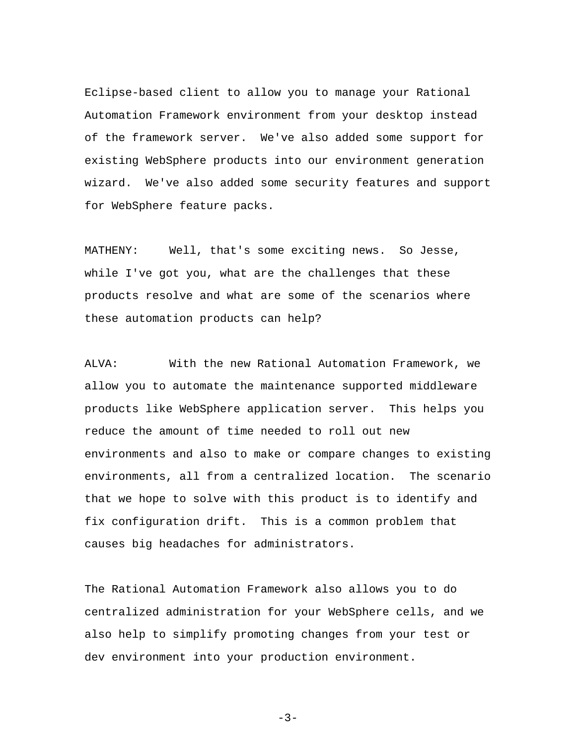Eclipse-based client to allow you to manage your Rational Automation Framework environment from your desktop instead of the framework server. We've also added some support for existing WebSphere products into our environment generation wizard. We've also added some security features and support for WebSphere feature packs.

MATHENY: Well, that's some exciting news. So Jesse, while I've got you, what are the challenges that these products resolve and what are some of the scenarios where these automation products can help?

ALVA: With the new Rational Automation Framework, we allow you to automate the maintenance supported middleware products like WebSphere application server. This helps you reduce the amount of time needed to roll out new environments and also to make or compare changes to existing environments, all from a centralized location. The scenario that we hope to solve with this product is to identify and fix configuration drift. This is a common problem that causes big headaches for administrators.

The Rational Automation Framework also allows you to do centralized administration for your WebSphere cells, and we also help to simplify promoting changes from your test or dev environment into your production environment.

-3-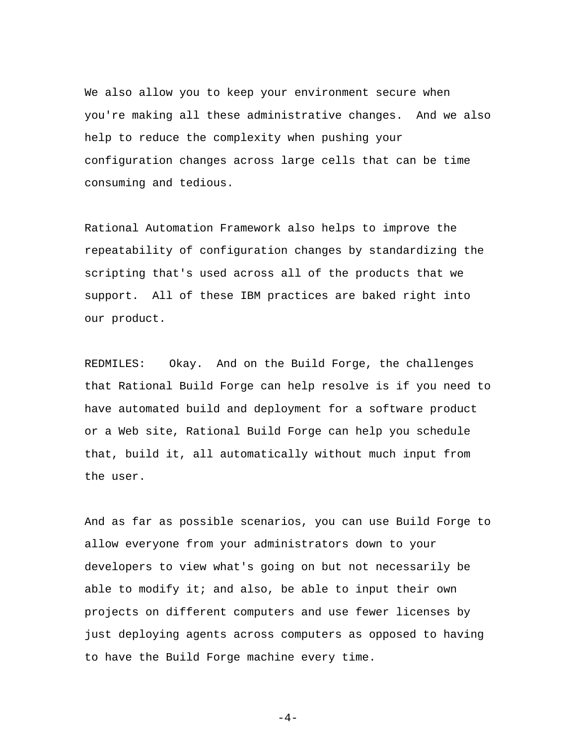We also allow you to keep your environment secure when you're making all these administrative changes. And we also help to reduce the complexity when pushing your configuration changes across large cells that can be time consuming and tedious.

Rational Automation Framework also helps to improve the repeatability of configuration changes by standardizing the scripting that's used across all of the products that we support. All of these IBM practices are baked right into our product.

REDMILES: Okay. And on the Build Forge, the challenges that Rational Build Forge can help resolve is if you need to have automated build and deployment for a software product or a Web site, Rational Build Forge can help you schedule that, build it, all automatically without much input from the user.

And as far as possible scenarios, you can use Build Forge to allow everyone from your administrators down to your developers to view what's going on but not necessarily be able to modify it; and also, be able to input their own projects on different computers and use fewer licenses by just deploying agents across computers as opposed to having to have the Build Forge machine every time.

 $-4-$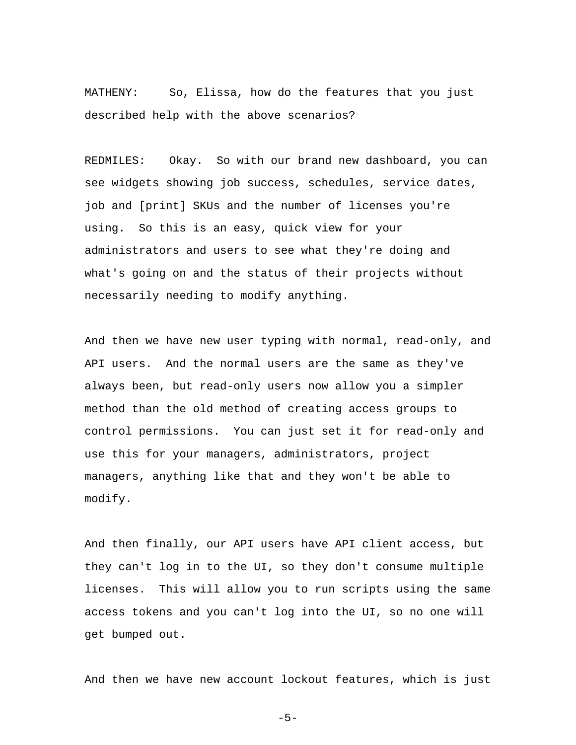MATHENY: So, Elissa, how do the features that you just described help with the above scenarios?

REDMILES: Okay. So with our brand new dashboard, you can see widgets showing job success, schedules, service dates, job and [print] SKUs and the number of licenses you're using. So this is an easy, quick view for your administrators and users to see what they're doing and what's going on and the status of their projects without necessarily needing to modify anything.

And then we have new user typing with normal, read-only, and API users. And the normal users are the same as they've always been, but read-only users now allow you a simpler method than the old method of creating access groups to control permissions. You can just set it for read-only and use this for your managers, administrators, project managers, anything like that and they won't be able to modify.

And then finally, our API users have API client access, but they can't log in to the UI, so they don't consume multiple licenses. This will allow you to run scripts using the same access tokens and you can't log into the UI, so no one will get bumped out.

And then we have new account lockout features, which is just

```
-5-
```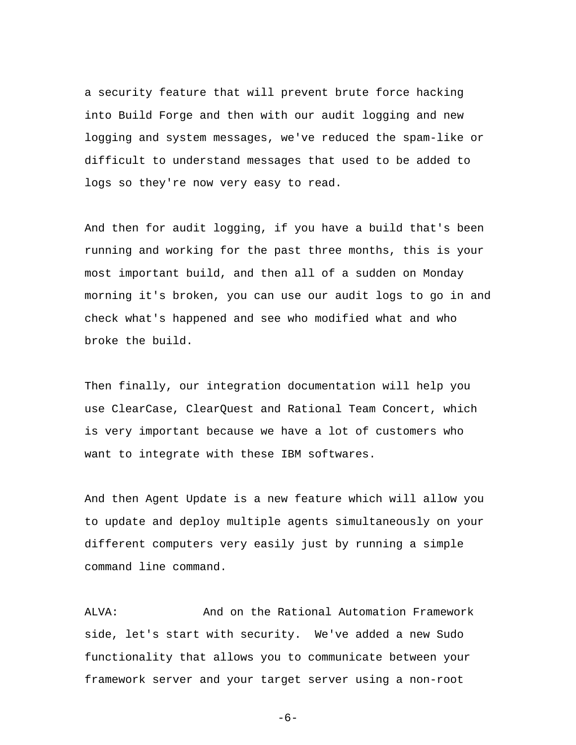a security feature that will prevent brute force hacking into Build Forge and then with our audit logging and new logging and system messages, we've reduced the spam-like or difficult to understand messages that used to be added to logs so they're now very easy to read.

And then for audit logging, if you have a build that's been running and working for the past three months, this is your most important build, and then all of a sudden on Monday morning it's broken, you can use our audit logs to go in and check what's happened and see who modified what and who broke the build.

Then finally, our integration documentation will help you use ClearCase, ClearQuest and Rational Team Concert, which is very important because we have a lot of customers who want to integrate with these IBM softwares.

And then Agent Update is a new feature which will allow you to update and deploy multiple agents simultaneously on your different computers very easily just by running a simple command line command.

ALVA: And on the Rational Automation Framework side, let's start with security. We've added a new Sudo functionality that allows you to communicate between your framework server and your target server using a non-root

 $-6-$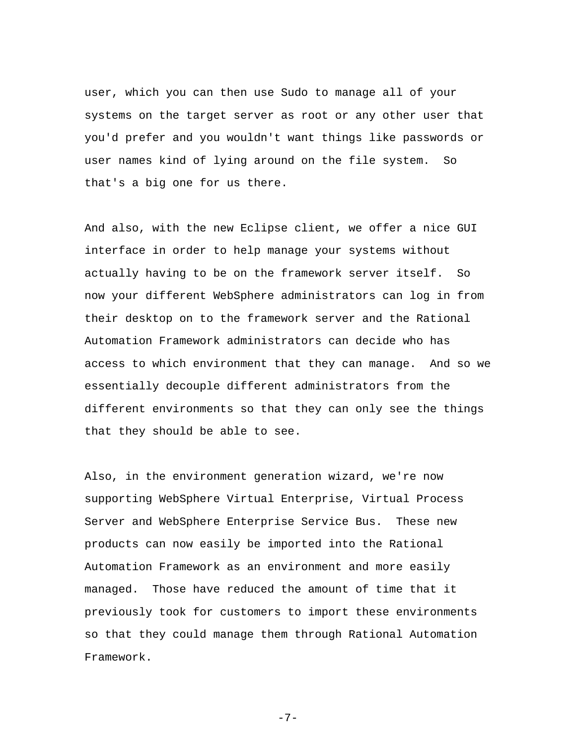user, which you can then use Sudo to manage all of your systems on the target server as root or any other user that you'd prefer and you wouldn't want things like passwords or user names kind of lying around on the file system. So that's a big one for us there.

And also, with the new Eclipse client, we offer a nice GUI interface in order to help manage your systems without actually having to be on the framework server itself. So now your different WebSphere administrators can log in from their desktop on to the framework server and the Rational Automation Framework administrators can decide who has access to which environment that they can manage. And so we essentially decouple different administrators from the different environments so that they can only see the things that they should be able to see.

Also, in the environment generation wizard, we're now supporting WebSphere Virtual Enterprise, Virtual Process Server and WebSphere Enterprise Service Bus. These new products can now easily be imported into the Rational Automation Framework as an environment and more easily managed. Those have reduced the amount of time that it previously took for customers to import these environments so that they could manage them through Rational Automation Framework.

-7-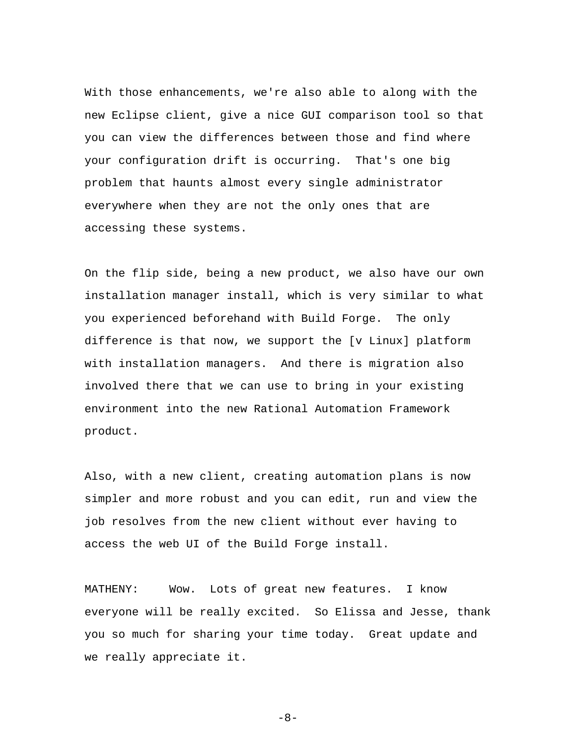With those enhancements, we're also able to along with the new Eclipse client, give a nice GUI comparison tool so that you can view the differences between those and find where your configuration drift is occurring. That's one big problem that haunts almost every single administrator everywhere when they are not the only ones that are accessing these systems.

On the flip side, being a new product, we also have our own installation manager install, which is very similar to what you experienced beforehand with Build Forge. The only difference is that now, we support the [v Linux] platform with installation managers. And there is migration also involved there that we can use to bring in your existing environment into the new Rational Automation Framework product.

Also, with a new client, creating automation plans is now simpler and more robust and you can edit, run and view the job resolves from the new client without ever having to access the web UI of the Build Forge install.

MATHENY: Wow. Lots of great new features. I know everyone will be really excited. So Elissa and Jesse, thank you so much for sharing your time today. Great update and we really appreciate it.

 $-8-$